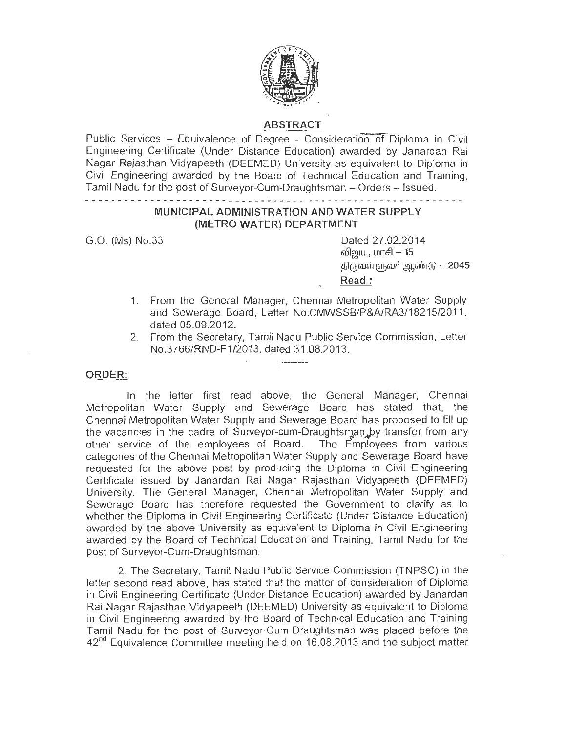

# ABSTRACT

Public Services - Equivalence of Degree - Consideration of Diploma in Civil Engineering Certificate (Under Distance Education) awarded by Janardan Rai Nagar Rajasthan Vidyapeeth (DEEMED) University as equivalent to Diploma in Civil Engineering awarded by the Board of Technical Education and Training, Tamil Nadu for the post of Surveyor-Cum-Draughtsman - Orders - Issued.

the contract of the contract of the contract of the contract of the contract of

### MUNICIPAL ADMINISTRATION AND WATER SUPPLY (METRO WATER) DEPARTMENT

G.O. (Ms) No.33 Dated 27.02.2014 விறய , மாசி  $-15$  $\hat{\mathfrak{G}}$ ருவள்ளுவர் .ஆண்டு  $-2045$ Read :

- 1. From the General Manager, Chennai Metropolitan Water Supply and Sewerage Board, Letter No.CMWSSB/P&A/RA3/18215/2011, dated 05.09.2012.
- 2. From the Secretary, Tamil Nadu Public Service Commission, Letter No.3766/RND-F1/2013, dated 31.08.2013.

## ORDER:

In the letter first read above, the General Manager, Chennai Metropolitan Water Supply and Sewerage Board has stated that, the Chennai Metropolitan Water Supply and Sewerage Board has proposed to fill up the vacancies in the cadre of Surveyor-cum-Draughtsman, by transfer from any other service of the employees of Board. The Employees from various categories of the Chennai Metropolitan Water Supply and Sewerage Board have requested for the above post by producing the Diploma in Civil Engineering Certificate issued by Janardan Rai Nagar Rajasthan Vidyapeeth (DEEMED) University. The General Manager, Chennai Metropolitan Water Supply and Sewerage Board has therefore requested the Government to clarify as to whether the Diploma in Civi! Engineering Certificote (Under Distance Education) awarded by the above University as equivalent to Diploma in Civil Engineering awarded by the Board of Technical Education and Training, Tamil Nadu for the post of Surveyor-Cum-Draughtsman.

2. The Secretary, Tamil Nadu Public Service Commission (TNPSC) in the letter second read above, has stated that the matter of consideration of Diploma in Civil Engineering Certificate (Under Distance Education) awarded by Janardan Rai Nagar Rajasthan Vidyapeeth (DEEMED) University as equivalent to Diploma in Civil Engineering awarded by the Board of Technical Education and Training Tamil Nadu for the post of Surveyor-Cum-Draughtsman was placed before the  $42<sup>nd</sup>$  Equivalence Committee meeting held on 16.08.2013 and the subject matter